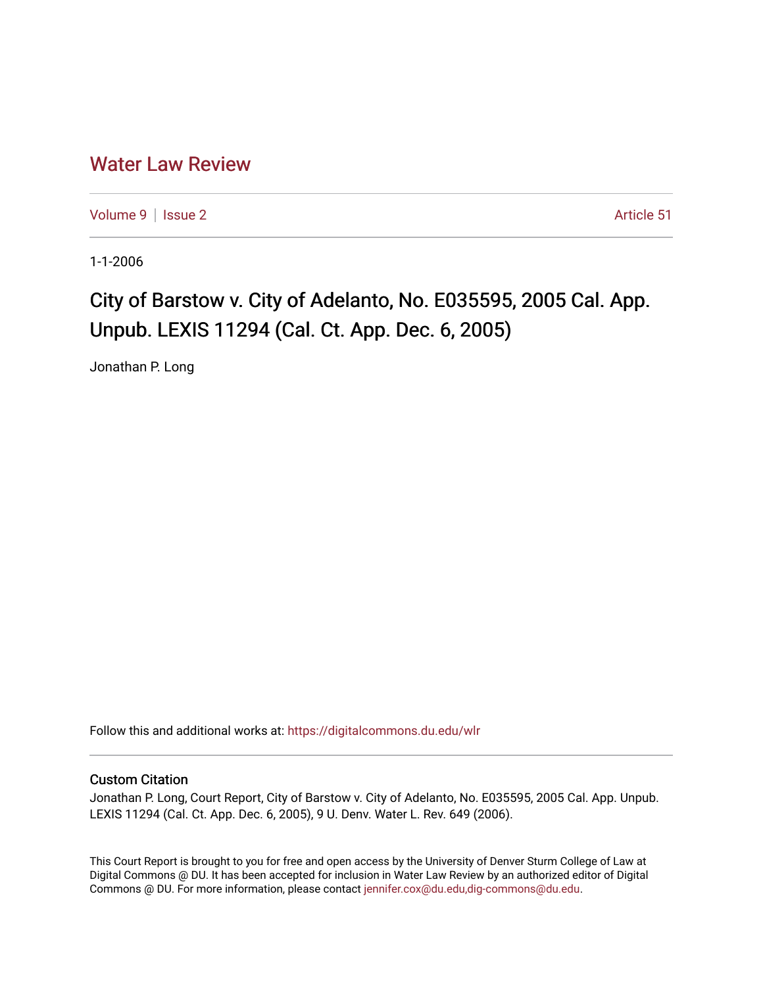## [Water Law Review](https://digitalcommons.du.edu/wlr)

[Volume 9](https://digitalcommons.du.edu/wlr/vol9) | [Issue 2](https://digitalcommons.du.edu/wlr/vol9/iss2) Article 51

1-1-2006

## City of Barstow v. City of Adelanto, No. E035595, 2005 Cal. App. Unpub. LEXIS 11294 (Cal. Ct. App. Dec. 6, 2005)

Jonathan P. Long

Follow this and additional works at: [https://digitalcommons.du.edu/wlr](https://digitalcommons.du.edu/wlr?utm_source=digitalcommons.du.edu%2Fwlr%2Fvol9%2Fiss2%2F51&utm_medium=PDF&utm_campaign=PDFCoverPages) 

## Custom Citation

Jonathan P. Long, Court Report, City of Barstow v. City of Adelanto, No. E035595, 2005 Cal. App. Unpub. LEXIS 11294 (Cal. Ct. App. Dec. 6, 2005), 9 U. Denv. Water L. Rev. 649 (2006).

This Court Report is brought to you for free and open access by the University of Denver Sturm College of Law at Digital Commons @ DU. It has been accepted for inclusion in Water Law Review by an authorized editor of Digital Commons @ DU. For more information, please contact [jennifer.cox@du.edu,dig-commons@du.edu.](mailto:jennifer.cox@du.edu,dig-commons@du.edu)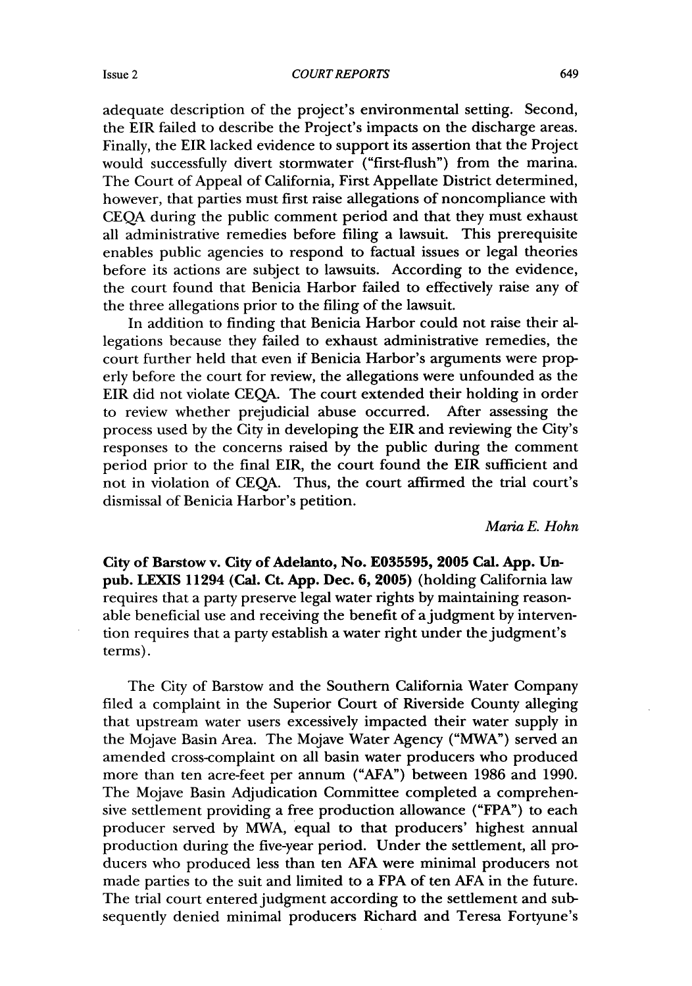adequate description of the project's environmental setting. Second, the EIR failed to describe the Project's impacts on the discharge areas. Finally, the EIR lacked evidence to support its assertion that the Project would successfully divert stormwater ("first-flush") from the marina. The Court of Appeal of California, First Appellate District determined, however, that parties must first raise allegations of noncompliance with CEQA during the public comment period and that they must exhaust all administrative remedies before filing a lawsuit. This prerequisite enables public agencies to respond to factual issues or legal theories before its actions are subject to lawsuits. According to the evidence, the court found that Benicia Harbor failed to effectively raise any of the three allegations prior to the filing of the lawsuit.

In addition to finding that Benicia Harbor could not raise their allegations because they failed to exhaust administrative remedies, the court further held that even if Benicia Harbor's arguments were properly before the court for review, the allegations were unfounded as the EIR did not violate CEQA. The court extended their holding in order to review whether prejudicial abuse occurred. After assessing the process used by the City in developing the EIR and reviewing the City's responses to the concerns raised by the public during the comment period prior to the final EIR, the court found the EIR sufficient and not in violation of CEQA. Thus, the court affirmed the trial court's dismissal of Benicia Harbor's petition.

## *Maria E. Hohn*

City of Barstow v. City of Adelanto, No. **E035595, 2005 Cal. App.** Unpub. **LEXIS 11294** (Cal. Ct. **App.** Dec. **6, 2005)** (holding California law requires that a party preserve legal water rights by maintaining reasonable beneficial use and receiving the benefit of a judgment by intervention requires that a party establish a water right under the judgment's terms).

The City of Barstow and the Southern California Water Company filed a complaint in the Superior Court of Riverside County alleging that upstream water users excessively impacted their water supply in the Mojave Basin Area. The Mojave Water Agency ("MWA") served an amended cross-complaint on all basin water producers who produced more than ten acre-feet per annum ("AFA") between 1986 and 1990. The Mojave Basin Adjudication Committee completed a comprehensive settlement providing a free production allowance ("FPA") to each producer served by MWA, equal to that producers' highest annual production during the five-year period. Under the settlement, all producers who produced less than ten AFA were minimal producers not made parties to the suit and limited to a FPA of ten AFA in the future. The trial court entered judgment according to the settlement and subsequently denied minimal producers Richard and Teresa Fortyune's